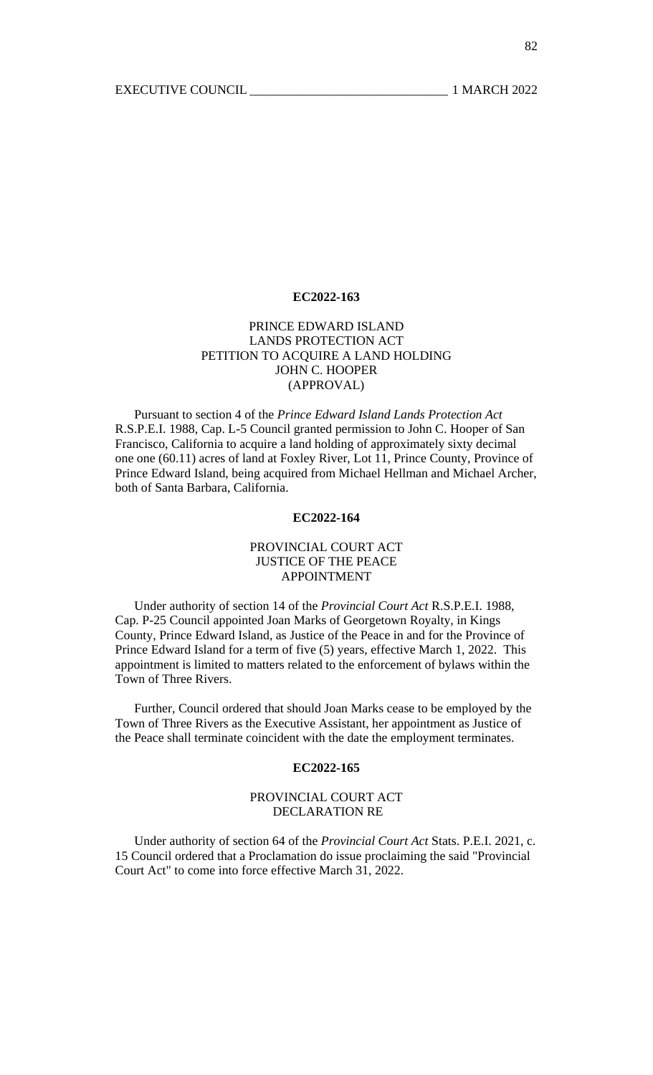### **EC2022-163**

# PRINCE EDWARD ISLAND LANDS PROTECTION ACT PETITION TO ACQUIRE A LAND HOLDING JOHN C. HOOPER (APPROVAL)

 Pursuant to section 4 of the *Prince Edward Island Lands Protection Act* R.S.P.E.I. 1988, Cap. L-5 Council granted permission to John C. Hooper of San Francisco, California to acquire a land holding of approximately sixty decimal one one (60.11) acres of land at Foxley River, Lot 11, Prince County, Province of Prince Edward Island, being acquired from Michael Hellman and Michael Archer, both of Santa Barbara, California.

## **EC2022-164**

## PROVINCIAL COURT ACT JUSTICE OF THE PEACE APPOINTMENT

 Under authority of section 14 of the *Provincial Court Act* R.S.P.E.I. 1988, Cap. P-25 Council appointed Joan Marks of Georgetown Royalty, in Kings County, Prince Edward Island, as Justice of the Peace in and for the Province of Prince Edward Island for a term of five (5) years, effective March 1, 2022. This appointment is limited to matters related to the enforcement of bylaws within the Town of Three Rivers.

 Further, Council ordered that should Joan Marks cease to be employed by the Town of Three Rivers as the Executive Assistant, her appointment as Justice of the Peace shall terminate coincident with the date the employment terminates.

### **EC2022-165**

# PROVINCIAL COURT ACT DECLARATION RE

 Under authority of section 64 of the *Provincial Court Act* Stats. P.E.I. 2021, c. 15 Council ordered that a Proclamation do issue proclaiming the said "Provincial Court Act" to come into force effective March 31, 2022.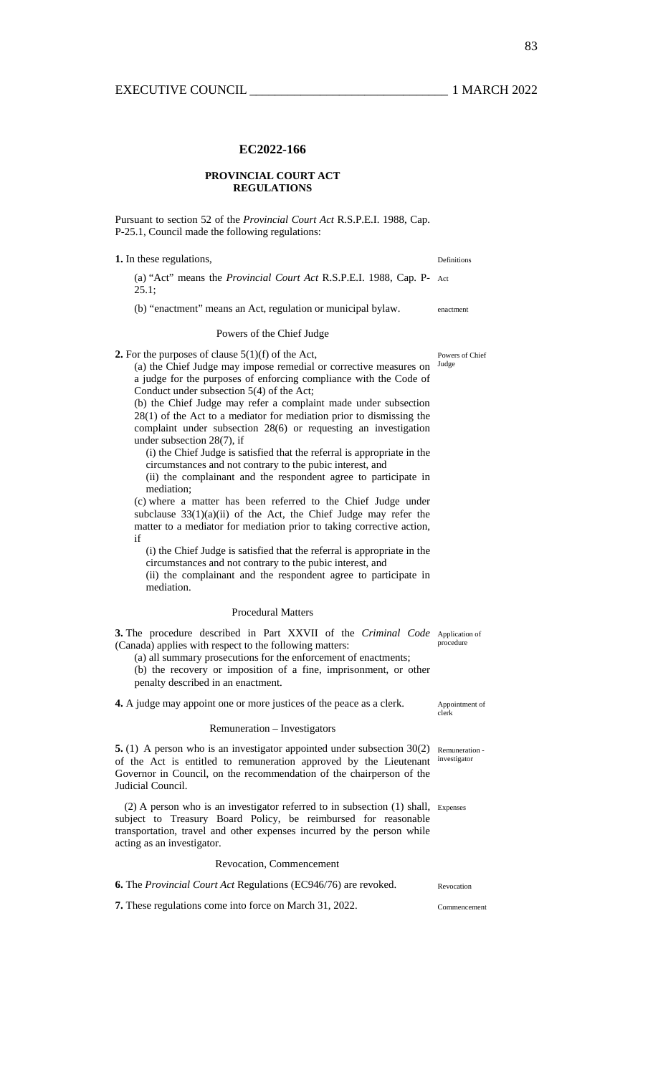### **EC2022-166**

### **PROVINCIAL COURT ACT REGULATIONS**

Pursuant to section 52 of the *Provincial Court Act* R.S.P.E.I. 1988, Cap. P-25.1, Council made the following regulations:

**1.** In these regulations, Definitions

(a) "Act" means the *Provincial Court Act* R.S.P.E.I. 1988, Cap. P-Act 25.1;

(b) "enactment" means an Act, regulation or municipal bylaw. enactment

### Powers of the Chief Judge

**2.** For the purposes of clause  $5(1)(f)$  of the Act,  $2(3)$  the Chief Iudge may impose remedial or corrective measures on  $\frac{Judge}{\sqrt{2}}$ 

(a) the Chief Judge may impose remedial or corrective measures on a judge for the purposes of enforcing compliance with the Code of Conduct under subsection 5(4) of the Act;

(b) the Chief Judge may refer a complaint made under subsection 28(1) of the Act to a mediator for mediation prior to dismissing the complaint under subsection 28(6) or requesting an investigation under subsection 28(7), if

(i) the Chief Judge is satisfied that the referral is appropriate in the circumstances and not contrary to the pubic interest, and

(ii) the complainant and the respondent agree to participate in mediation;

(c) where a matter has been referred to the Chief Judge under subclause 33(1)(a)(ii) of the Act, the Chief Judge may refer the matter to a mediator for mediation prior to taking corrective action, if

(i) the Chief Judge is satisfied that the referral is appropriate in the circumstances and not contrary to the pubic interest, and (ii) the complainant and the respondent agree to participate in mediation.

### Procedural Matters

**3.** The procedure described in Part XXVII of the *Criminal Code* Application of (Canada) applies with respect to the following matters: procedure

(a) all summary prosecutions for the enforcement of enactments; (b) the recovery or imposition of a fine, imprisonment, or other penalty described in an enactment.

**4.** A judge may appoint one or more justices of the peace as a clerk.

### Remuneration – Investigators

**5.** (1) A person who is an investigator appointed under subsection 30(2) Remuneration of the Act is entitled to remuneration approved by the Lieutenant investigator Governor in Council, on the recommendation of the chairperson of the Judicial Council.

(2) A person who is an investigator referred to in subsection (1) shall, Expenses subject to Treasury Board Policy, be reimbursed for reasonable transportation, travel and other expenses incurred by the person while acting as an investigator.

Revocation, Commencement

| <b>6.</b> The <i>Provincial Court Act</i> Regulations (EC946/76) are revoked. | Revocation |
|-------------------------------------------------------------------------------|------------|
|-------------------------------------------------------------------------------|------------|

**7.** These regulations come into force on March 31, 2022. Commencement

Appointment of<br>clerk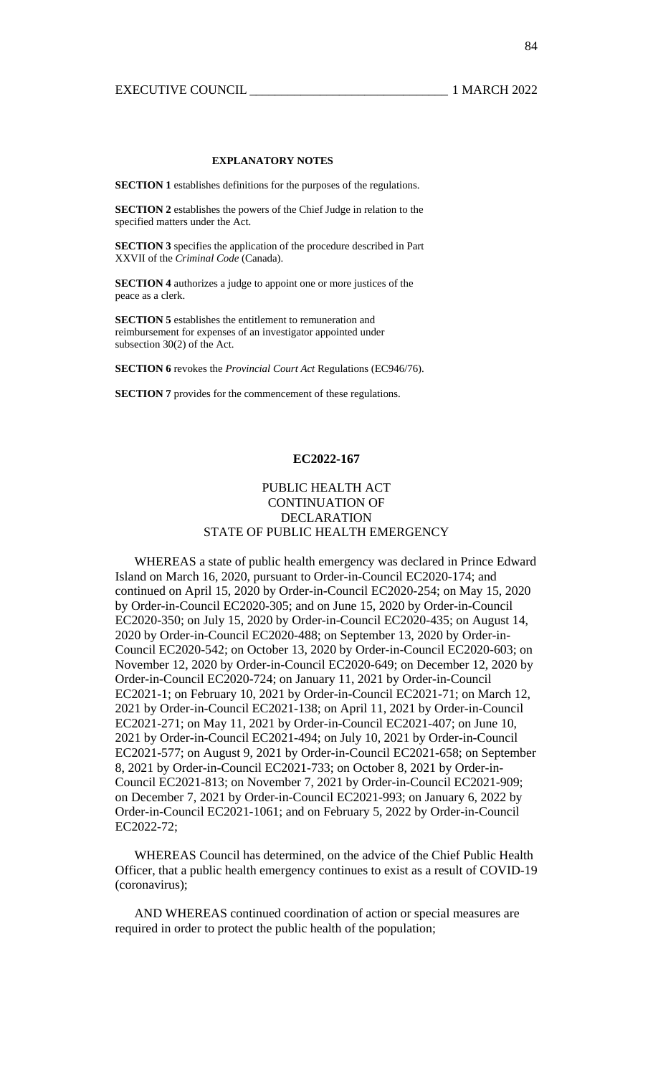### **EXPLANATORY NOTES**

**SECTION 1** establishes definitions for the purposes of the regulations.

**SECTION 2** establishes the powers of the Chief Judge in relation to the specified matters under the Act.

**SECTION 3** specifies the application of the procedure described in Part XXVII of the *Criminal Code* (Canada).

**SECTION 4** authorizes a judge to appoint one or more justices of the peace as a clerk.

**SECTION 5** establishes the entitlement to remuneration and reimbursement for expenses of an investigator appointed under subsection 30(2) of the Act.

**SECTION 6** revokes the *Provincial Court Act* Regulations (EC946/76).

**SECTION 7** provides for the commencement of these regulations.

## **EC2022-167**

# PUBLIC HEALTH ACT CONTINUATION OF DECLARATION STATE OF PUBLIC HEALTH EMERGENCY

WHEREAS a state of public health emergency was declared in Prince Edward Island on March 16, 2020, pursuant to Order-in-Council EC2020-174; and continued on April 15, 2020 by Order-in-Council EC2020-254; on May 15, 2020 by Order-in-Council EC2020-305; and on June 15, 2020 by Order-in-Council EC2020-350; on July 15, 2020 by Order-in-Council EC2020-435; on August 14, 2020 by Order-in-Council EC2020-488; on September 13, 2020 by Order-in-Council EC2020-542; on October 13, 2020 by Order-in-Council EC2020-603; on November 12, 2020 by Order-in-Council EC2020-649; on December 12, 2020 by Order-in-Council EC2020-724; on January 11, 2021 by Order-in-Council EC2021-1; on February 10, 2021 by Order-in-Council EC2021-71; on March 12, 2021 by Order-in-Council EC2021-138; on April 11, 2021 by Order-in-Council EC2021-271; on May 11, 2021 by Order-in-Council EC2021-407; on June 10, 2021 by Order-in-Council EC2021-494; on July 10, 2021 by Order-in-Council EC2021-577; on August 9, 2021 by Order-in-Council EC2021-658; on September 8, 2021 by Order-in-Council EC2021-733; on October 8, 2021 by Order-in-Council EC2021-813; on November 7, 2021 by Order-in-Council EC2021-909; on December 7, 2021 by Order-in-Council EC2021-993; on January 6, 2022 by Order-in-Council EC2021-1061; and on February 5, 2022 by Order-in-Council EC2022-72;

WHEREAS Council has determined, on the advice of the Chief Public Health Officer, that a public health emergency continues to exist as a result of COVID-19 (coronavirus);

AND WHEREAS continued coordination of action or special measures are required in order to protect the public health of the population;